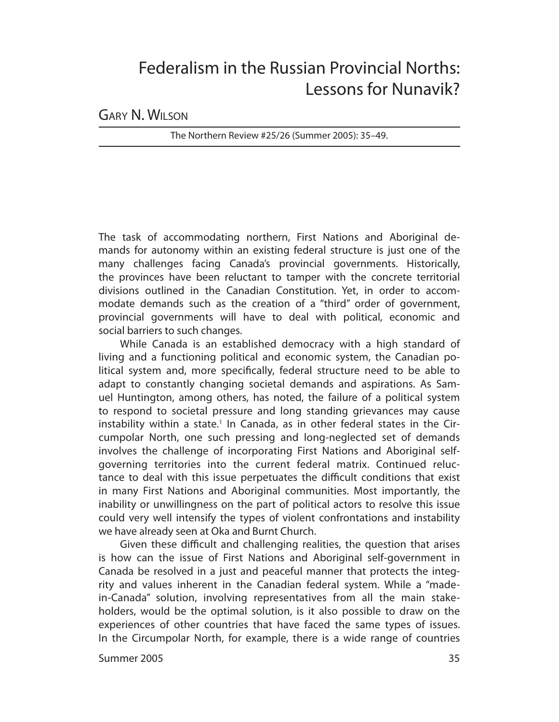# Federalism in the Russian Provincial Norths: Lessons for Nunavik?

GARY N. WILSON

The Northern Review #25/26 (Summer 2005): 35–49.

The task of accommodating northern, First Nations and Aboriginal demands for autonomy within an existing federal structure is just one of the many challenges facing Canada's provincial governments. Historically, the provinces have been reluctant to tamper with the concrete territorial divisions outlined in the Canadian Constitution. Yet, in order to accommodate demands such as the creation of a "third" order of government, provincial governments will have to deal with political, economic and social barriers to such changes.

While Canada is an established democracy with a high standard of living and a functioning political and economic system, the Canadian political system and, more specifically, federal structure need to be able to adapt to constantly changing societal demands and aspirations. As Samuel Huntington, among others, has noted, the failure of a political system to respond to societal pressure and long standing grievances may cause instability within a state.<sup>1</sup> In Canada, as in other federal states in the Circumpolar North, one such pressing and long-neglected set of demands involves the challenge of incorporating First Nations and Aboriginal selfgoverning territories into the current federal matrix. Continued reluctance to deal with this issue perpetuates the difficult conditions that exist in many First Nations and Aboriginal communities. Most importantly, the inability or unwillingness on the part of political actors to resolve this issue could very well intensify the types of violent confrontations and instability we have already seen at Oka and Burnt Church.

Given these difficult and challenging realities, the question that arises is how can the issue of First Nations and Aboriginal self-government in Canada be resolved in a just and peaceful manner that protects the integrity and values inherent in the Canadian federal system. While a "madein-Canada" solution, involving representatives from all the main stakeholders, would be the optimal solution, is it also possible to draw on the experiences of other countries that have faced the same types of issues. In the Circumpolar North, for example, there is a wide range of countries

Summer 2005 35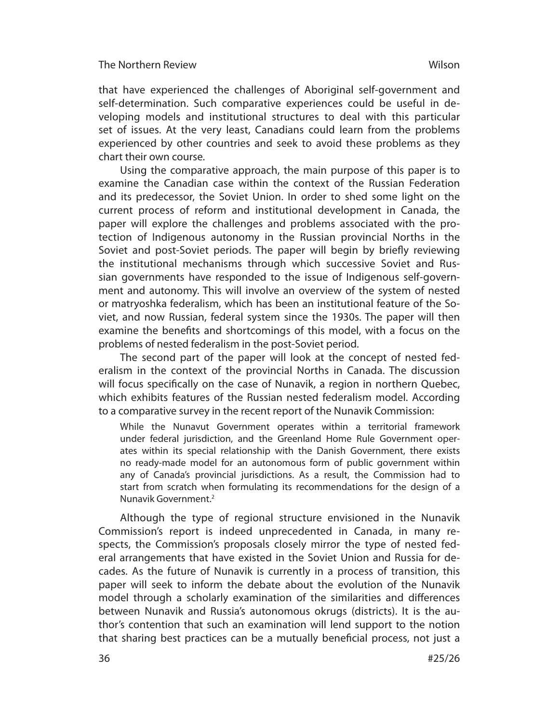that have experienced the challenges of Aboriginal self-government and self-determination. Such comparative experiences could be useful in developing models and institutional structures to deal with this particular set of issues. At the very least, Canadians could learn from the problems experienced by other countries and seek to avoid these problems as they chart their own course.

Using the comparative approach, the main purpose of this paper is to examine the Canadian case within the context of the Russian Federation and its predecessor, the Soviet Union. In order to shed some light on the current process of reform and institutional development in Canada, the paper will explore the challenges and problems associated with the protection of Indigenous autonomy in the Russian provincial Norths in the Soviet and post-Soviet periods. The paper will begin by briefly reviewing the institutional mechanisms through which successive Soviet and Russian governments have responded to the issue of Indigenous self-government and autonomy. This will involve an overview of the system of nested or matryoshka federalism, which has been an institutional feature of the Soviet, and now Russian, federal system since the 1930s. The paper will then examine the benefits and shortcomings of this model, with a focus on the problems of nested federalism in the post-Soviet period.

The second part of the paper will look at the concept of nested federalism in the context of the provincial Norths in Canada. The discussion will focus specifically on the case of Nunavik, a region in northern Quebec, which exhibits features of the Russian nested federalism model. According to a comparative survey in the recent report of the Nunavik Commission:

While the Nunavut Government operates within a territorial framework under federal jurisdiction, and the Greenland Home Rule Government operates within its special relationship with the Danish Government, there exists no ready-made model for an autonomous form of public government within any of Canada's provincial jurisdictions. As a result, the Commission had to start from scratch when formulating its recommendations for the design of a Nunavik Government.<sup>2</sup>

Although the type of regional structure envisioned in the Nunavik Commission's report is indeed unprecedented in Canada, in many respects, the Commission's proposals closely mirror the type of nested federal arrange ments that have existed in the Soviet Union and Russia for decades. As the future of Nunavik is currently in a process of transition, this paper will seek to inform the debate about the evolution of the Nunavik model through a scholarly examination of the similarities and differences between Nunavik and Russia's autonomous okrugs (districts). It is the author's contention that such an examination will lend support to the notion that sharing best practices can be a mutually beneficial process, not just a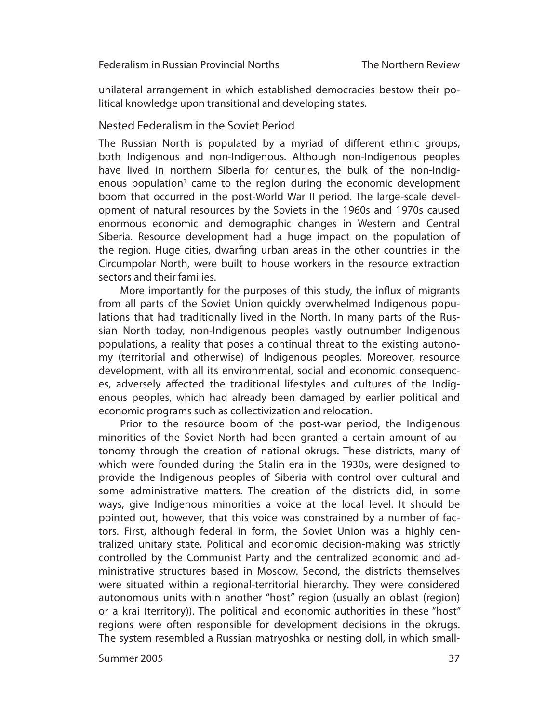unilateral arrangement in which established democracies bestow their political knowledge upon transitional and developing states.

## Nested Federalism in the Soviet Period

The Russian North is populated by a myriad of different ethnic groups, both Indigenous and non-Indigenous. Although non-Indigenous peoples have lived in northern Siberia for centuries, the bulk of the non-Indigenous population<sup>3</sup> came to the region during the economic development boom that occurred in the post-World War II period. The large-scale development of natural resources by the Soviets in the 1960s and 1970s caused enormous economic and demographic changes in Western and Central Siberia. Resource development had a huge impact on the population of the region. Huge cities, dwarfing urban areas in the other countries in the Circumpolar North, were built to house workers in the resource extraction sectors and their families.

More importantly for the purposes of this study, the influx of migrants from all parts of the Soviet Union quickly overwhelmed Indigenous populations that had traditionally lived in the North. In many parts of the Russian North today, non-Indigenous peoples vastly outnumber Indigenous populations, a reality that poses a continual threat to the existing autonomy (territorial and otherwise) of Indigenous peoples. Moreover, resource development, with all its environmental, social and economic consequences, adversely affected the traditional lifestyles and cultures of the Indigenous peoples, which had already been damaged by earlier political and economic programs such as collectivization and relocation.

Prior to the resource boom of the post-war period, the Indigenous minorities of the Soviet North had been granted a certain amount of autonomy through the creation of national okrugs. These districts, many of which were founded during the Stalin era in the 1930s, were designed to pro vide the Indigenous peoples of Siberia with control over cultural and some administrative matters. The creation of the districts did, in some ways, give Indigenous minorities a voice at the local level. It should be pointed out, however, that this voice was constrained by a number of factors. First, although federal in form, the Soviet Union was a highly centralized unitary state. Political and economic decision-making was strictly controlled by the Com munist Party and the centralized economic and administrative structures based in Moscow. Second, the districts themselves were situated within a regional-territorial hierarchy. They were considered autonomous units within another "host" region (usually an oblast (region) or a krai (territory)). The political and economic authorities in these "host" regions were often responsible for development decisions in the okrugs. The system resembled a Russian matryoshka or nesting doll, in which small-

Summer 2005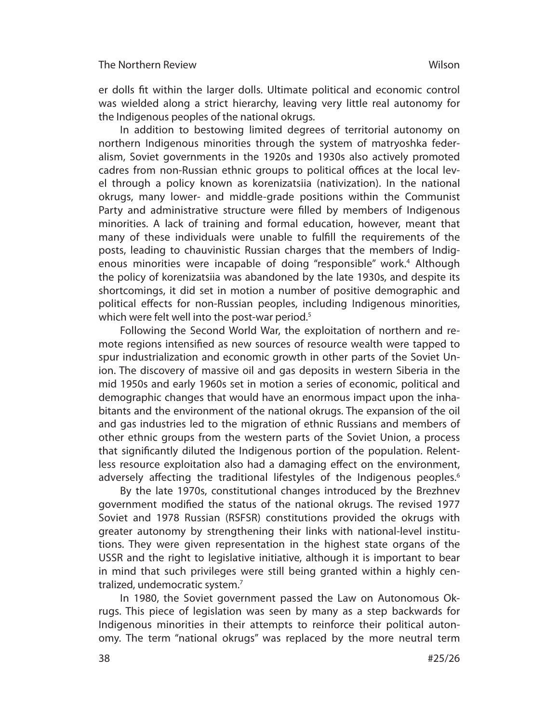er dolls fit within the larger dolls. Ultimate political and economic control was wielded along a strict hierarchy, leaving very little real autonomy for the Indigenous peoples of the national okrugs.

In addition to bestowing limited degrees of territorial autonomy on northern Indigenous minorities through the system of matryoshka federalism, Soviet governments in the 1920s and 1930s also actively promoted cadres from non-Russian ethnic groups to political offices at the local level through a policy known as korenizatsiia (nativization). In the national okrugs, many lower- and middle-grade positions within the Communist Party and administrative structure were filled by members of Indigenous minorities. A lack of training and formal education, however, meant that many of these individuals were unable to fulfill the requirements of the posts, leading to chauvinistic Russian charges that the members of Indigenous minorities were incapable of doing "responsible" work.<sup>4</sup> Although the policy of korenizatsiia was abandoned by the late 1930s, and despite its shortcomings, it did set in motion a number of positive demographic and political eff ects for non-Russian peoples, including Indigenous minorities, which were felt well into the post-war period.<sup>5</sup>

Following the Second World War, the exploitation of northern and remote regions intensified as new sources of resource wealth were tapped to spur industrialization and economic growth in other parts of the Soviet Union. The discovery of massive oil and gas deposits in western Siberia in the mid 1950s and early 1960s set in motion a series of economic, political and de mographic changes that would have an enormous impact upon the inhabitants and the environment of the national okrugs. The expansion of the oil and gas industries led to the migration of ethnic Russians and members of other ethnic groups from the western parts of the Soviet Union, a process that significantly diluted the Indigenous portion of the population. Relentless resource exploitation also had a damaging effect on the environment, adversely affecting the traditional lifestyles of the Indigenous peoples.<sup>6</sup>

By the late 1970s, constitutional changes introduced by the Brezhnev government modified the status of the national okrugs. The revised 1977 Soviet and 1978 Russian (RSFSR) constitutions provided the okrugs with greater autonomy by strengthening their links with national-level institutions. They were given representation in the highest state organs of the USSR and the right to legislative initiative, although it is important to bear in mind that such privileges were still being granted within a highly centralized, undemocratic system.<sup>7</sup>

In 1980, the Soviet government passed the Law on Autonomous Okrugs. This piece of legislation was seen by many as a step backwards for Indigenous minorities in their attempts to reinforce their political autonomy. The term "national okrugs" was replaced by the more neutral term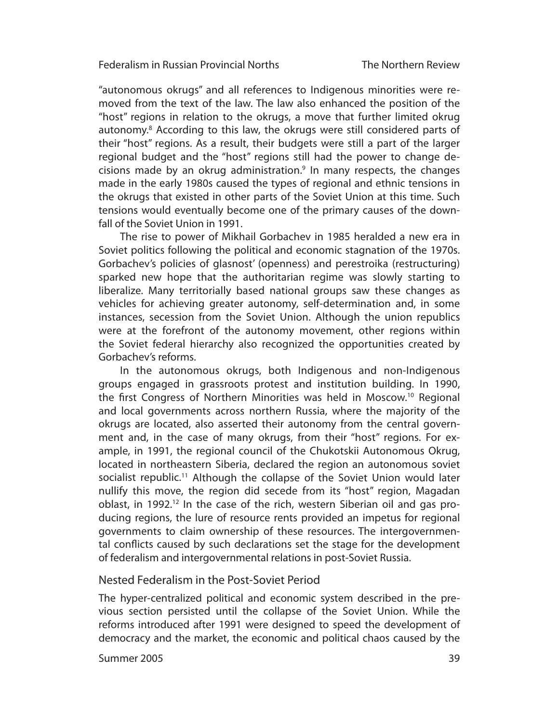"autonomous okrugs" and all references to Indigenous minorities were removed from the text of the law. The law also enhanced the position of the "host" regions in relation to the okrugs, a move that further limited okrug autonomy.<sup>8</sup> According to this law, the okrugs were still considered parts of their "host" regions. As a result, their budgets were still a part of the larger regional budget and the "host" regions still had the power to change decisions made by an okrug administration. $9$  In many respects, the changes made in the early 1980s caused the types of regional and ethnic tensions in the okrugs that existed in other parts of the Soviet Union at this time. Such tensions would eventually become one of the primary causes of the downfall of the Soviet Union in 1991.

The rise to power of Mikhail Gorbachev in 1985 heralded a new era in Soviet politics following the political and economic stagnation of the 1970s. Gorbachev's policies of glasnost' (openness) and perestroika (restructuring) sparked new hope that the authoritarian regime was slowly starting to liberalize. Many territorially based national groups saw these changes as vehicles for achieving greater autonomy, self-determination and, in some instances, secession from the Soviet Union. Although the union republics were at the forefront of the autonomy movement, other regions within the Soviet federal hierarchy also recognized the opportunities created by Gorbachev's reforms.

In the autonomous okrugs, both Indigenous and non-Indigenous groups engaged in grassroots protest and institution building. In 1990, the first Congress of Northern Minorities was held in Moscow.<sup>10</sup> Regional and local governments across northern Russia, where the majority of the okrugs are located, also asserted their autonomy from the central government and, in the case of many okrugs, from their "host" regions. For example, in 1991, the regional council of the Chukotskii Autonomous Okrug, located in northeastern Siberia, declared the region an autonomous soviet socialist republic.11 Although the collapse of the Soviet Union would later nullify this move, the region did secede from its "host" region, Magadan oblast, in 1992.<sup>12</sup> In the case of the rich, western Siberian oil and gas producing regions, the lure of resource rents provided an impetus for regional governments to claim ownership of these resources. The intergovernmental conflicts caused by such declarations set the stage for the development of federalism and intergovernmental relations in post-Soviet Russia.

## Nested Federalism in the Post-Soviet Period

The hyper-centralized political and economic system described in the previous section persisted until the collapse of the Soviet Union. While the re forms introduced after 1991 were designed to speed the development of democracy and the market, the economic and political chaos caused by the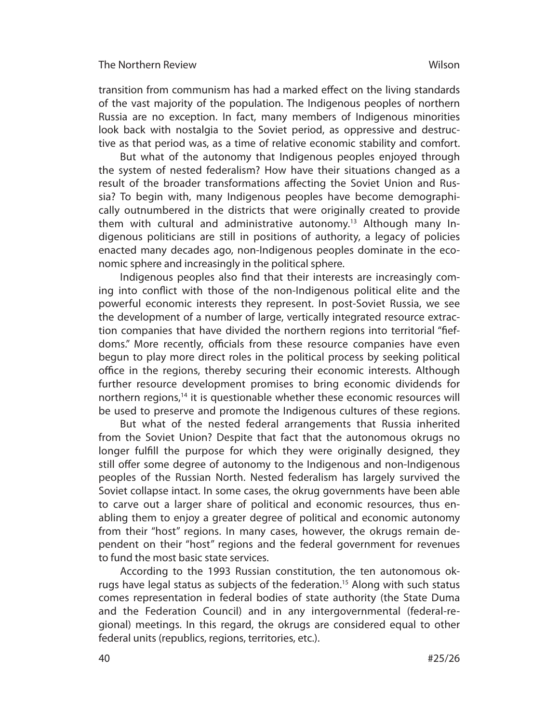transition from communism has had a marked effect on the living standards of the vast majority of the population. The Indigenous peoples of northern Russia are no exception. In fact, many members of Indigenous minorities look back with nostalgia to the Soviet period, as oppressive and destructive as that period was, as a time of relative economic stability and comfort.

But what of the autonomy that Indigenous peoples enjoyed through the system of nested federalism? How have their situations changed as a result of the broader transformations affecting the Soviet Union and Russia? To begin with, many Indigenous peoples have become demographically outnumbered in the districts that were originally created to provide them with cultural and administrative autonomy.13 Although many Indigenous politicians are still in positions of authority, a legacy of policies enacted many decades ago, non-Indigenous peoples dominate in the economic sphere and increasingly in the political sphere.

Indigenous peoples also find that their interests are increasingly coming into conflict with those of the non-Indigenous political elite and the powerful economic interests they represent. In post-Soviet Russia, we see the development of a number of large, vertically integrated resource extraction companies that have divided the northern regions into territorial "fiefdoms." More recently, officials from these resource companies have even begun to play more direct roles in the political process by seeking political office in the regions, thereby securing their economic interests. Although further resource development promises to bring economic dividends for northern regions,<sup>14</sup> it is questionable whether these economic resources will be used to preserve and promote the Indigenous cultures of these regions.

But what of the nested federal arrangements that Russia inherited from the Soviet Union? Despite that fact that the autonomous okrugs no longer fulfill the purpose for which they were originally designed, they still offer some degree of autonomy to the Indigenous and non-Indigenous peoples of the Russian North. Nested federalism has largely survived the Soviet collapse intact. In some cases, the okrug governments have been able to carve out a larger share of political and economic resources, thus enabling them to enjoy a greater degree of political and economic autonomy from their "host" regions. In many cases, however, the okrugs remain dependent on their "host" regions and the federal government for revenues to fund the most basic state services.

According to the 1993 Russian constitution, the ten autonomous okrugs have legal status as subjects of the federation.<sup>15</sup> Along with such status comes representation in federal bodies of state authority (the State Duma and the Federation Council) and in any intergovernmental (federal-regional) meetings. In this regard, the okrugs are considered equal to other federal units (republics, regions, territories, etc.).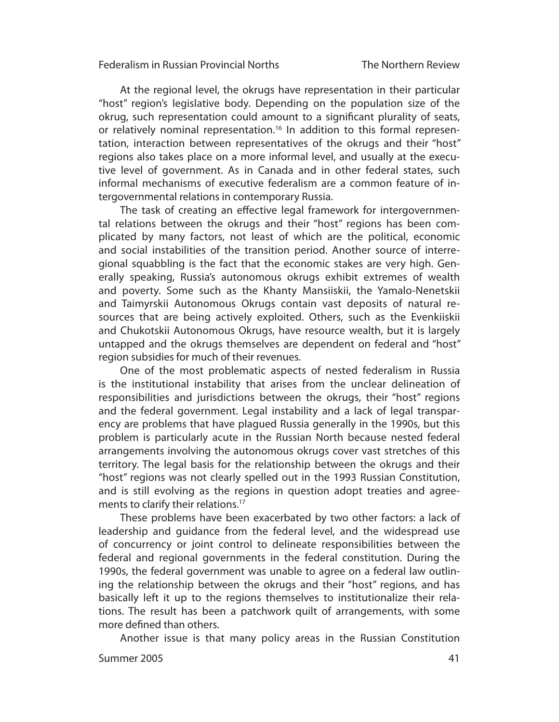At the regional level, the okrugs have representation in their particular "host" region's legislative body. Depending on the population size of the okrug, such representation could amount to a significant plurality of seats, or relatively nominal representation.<sup>16</sup> In addition to this formal representation, interaction between representatives of the okrugs and their "host" regions also takes place on a more informal level, and usually at the executive level of government. As in Canada and in other federal states, such informal mechanisms of executive federalism are a common feature of intergovernmental relations in contemporary Russia.

The task of creating an effective legal framework for intergovernmental relations between the okrugs and their "host" regions has been complicated by many factors, not least of which are the political, economic and social instabilities of the transition period. Another source of interregional squabbling is the fact that the economic stakes are very high. Generally speaking, Russia's autonomous okrugs exhibit extremes of wealth and poverty. Some such as the Khanty Mansiiskii, the Yamalo-Nenetskii and Taimyrskii Autonomous Okrugs contain vast deposits of natural resources that are being actively exploited. Others, such as the Evenkiiskii and Chukotskii Autonomous Okrugs, have resource wealth, but it is largely untapped and the okrugs themselves are dependent on federal and "host" region subsidies for much of their revenues.

One of the most problematic aspects of nested federalism in Russia is the institutional instability that arises from the unclear delineation of responsibilities and jurisdictions between the okrugs, their "host" regions and the federal government. Legal instability and a lack of legal transparency are problems that have plagued Russia generally in the 1990s, but this problem is particularly acute in the Russian North because nested federal arrangements involving the autonomous okrugs cover vast stretches of this territory. The legal basis for the relationship between the okrugs and their "host" regions was not clearly spelled out in the 1993 Russian Constitution, and is still evolving as the regions in question adopt treaties and agreements to clarify their relations.<sup>17</sup>

These problems have been exacerbated by two other factors: a lack of leadership and guidance from the federal level, and the widespread use of concurrency or joint control to delineate responsibilities between the federal and regional governments in the federal constitution. During the 1990s, the federal government was unable to agree on a federal law outlining the relationship between the okrugs and their "host" regions, and has basically left it up to the regions themselves to institutionalize their relations. The result has been a patchwork quilt of arrangements, with some more defined than others.

Another issue is that many policy areas in the Russian Constitution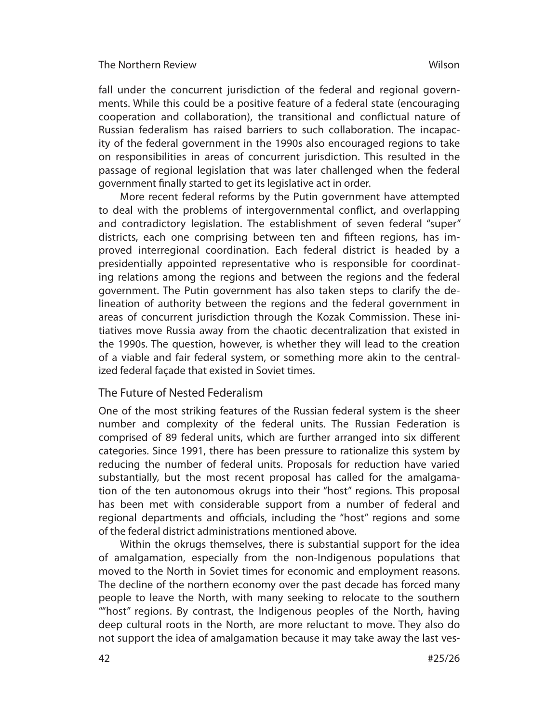fall under the concurrent jurisdiction of the federal and regional governments. While this could be a positive feature of a federal state (encouraging cooperation and collaboration), the transitional and conflictual nature of Russian federalism has raised barriers to such collaboration. The incapacity of the federal government in the 1990s also encouraged regions to take on responsibilities in areas of concurrent jurisdiction. This resulted in the passage of regional legislation that was later challenged when the federal government finally started to get its legislative act in order.

More recent federal reforms by the Putin government have attempted to deal with the problems of intergovernmental conflict, and overlapping and contradictory legislation. The establishment of seven federal "super" districts, each one comprising between ten and fifteen regions, has improved interregional coordination. Each federal district is headed by a presidentially appointed representative who is responsible for coordinating relations among the regions and between the regions and the federal government. The Putin government has also taken steps to clarify the delineation of authority between the regions and the federal government in areas of concurrent jurisdiction through the Kozak Commission. These initiatives move Russia away from the chaotic decentralization that existed in the 1990s. The question, however, is whether they will lead to the creation of a viable and fair federal system, or something more akin to the centralized federal façade that existed in Soviet times.

# The Future of Nested Federalism

One of the most striking features of the Russian federal system is the sheer number and complexity of the federal units. The Russian Federation is comprised of 89 federal units, which are further arranged into six different categories. Since 1991, there has been pressure to rationalize this system by reducing the number of federal units. Proposals for reduction have varied substan tially, but the most recent proposal has called for the amalgamation of the ten autonomous okrugs into their "host" regions. This proposal has been met with considerable support from a number of federal and regional departments and officials, including the "host" regions and some of the federal district administrations mentioned above.

Within the okrugs themselves, there is substantial support for the idea of amalgamation, especially from the non-Indigenous populations that moved to the North in Soviet times for economic and employment reasons. The decline of the northern economy over the past decade has forced many people to leave the North, with many seeking to relocate to the southern ""host" regions. By contrast, the Indigenous peoples of the North, having deep cultural roots in the North, are more reluctant to move. They also do not support the idea of amalgamation because it may take away the last ves-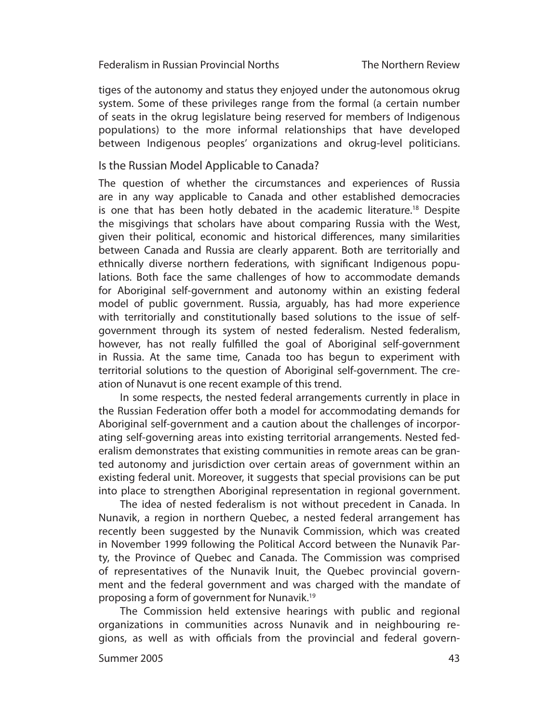tiges of the autonomy and status they enjoyed under the autonomous okrug system. Some of these privileges range from the formal (a certain number of seats in the okrug legislature being reserved for members of Indigenous populations) to the more informal relationships that have developed between Indigenous peoples' organizations and okrug-level politicians.

# Is the Russian Model Applicable to Canada?

The question of whether the circumstances and experiences of Russia are in any way applicable to Canada and other established democracies is one that has been hotly debated in the academic literature.<sup>18</sup> Despite the misgivings that scholars have about comparing Russia with the West, given their political, economic and historical differences, many similarities between Canada and Russia are clearly apparent. Both are territorially and ethnically diverse northern federations, with significant Indigenous populations. Both face the same challenges of how to accommodate demands for Aboriginal self-government and autonomy within an existing federal model of public government. Russia, arguably, has had more experience with territorially and constitutionally based solutions to the issue of selfgovernment through its system of nested federalism. Nested federalism, however, has not really fulfilled the goal of Aboriginal self-government in Russia. At the same time, Canada too has begun to experiment with territorial solutions to the question of Aboriginal self-government. The creation of Nunavut is one recent example of this trend.

In some respects, the nested federal arrangements currently in place in the Russian Federation offer both a model for accommodating demands for Aboriginal self-government and a caution about the challenges of incorporating self-governing areas into existing territorial arrangements. Nested federalism demonstrates that existing communities in remote areas can be granted autonomy and jurisdiction over certain areas of government within an existing federal unit. Moreover, it suggests that special provisions can be put into place to strengthen Aboriginal representation in regional government.

The idea of nested federalism is not without precedent in Canada. In Nunavik, a region in northern Quebec, a nested federal arrangement has re cently been suggested by the Nunavik Commission, which was created in November 1999 following the Political Accord between the Nunavik Party, the Province of Quebec and Canada. The Commission was comprised of representatives of the Nunavik Inuit, the Quebec provincial government and the federal government and was charged with the mandate of proposing a form of government for Nunavik.19

The Commission held extensive hearings with public and regional organ izations in communities across Nunavik and in neighbouring regions, as well as with officials from the provincial and federal govern-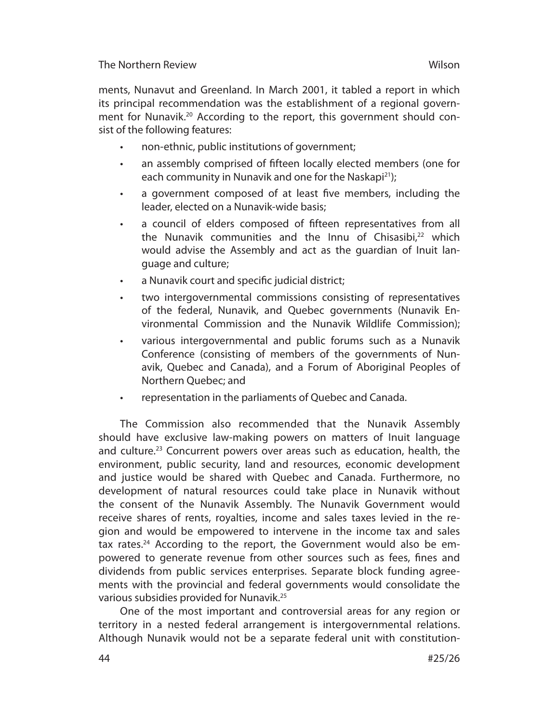ments, Nunavut and Greenland. In March 2001, it tabled a report in which its principal recommendation was the establishment of a regional government for Nunavik.<sup>20</sup> According to the report, this government should consist of the following features:

- non-ethnic, public institutions of government;
- an assembly comprised of fifteen locally elected members (one for each community in Nunavik and one for the Naskapi<sup>21</sup>);
- a government composed of at least five members, including the leader, elected on a Nunavik-wide basis;
- a council of elders composed of fifteen representatives from all the Nunavik communities and the Innu of Chisasibi,<sup>22</sup> which would advise the Assembly and act as the guardian of Inuit language and culture;
- a Nunavik court and specific judicial district;
- two intergovernmental commissions consisting of representatives of the federal, Nunavik, and Quebec governments (Nunavik Environmental Commission and the Nunavik Wildlife Commission);
- various intergovernmental and public forums such as a Nunavik Conference (consisting of members of the governments of Nunavik, Quebec and Canada), and a Forum of Aboriginal Peoples of Northern Quebec; and
- representation in the parliaments of Quebec and Canada.

The Commission also recommended that the Nunavik Assembly should have exclusive law-making powers on matters of Inuit language and culture.<sup>23</sup> Concurrent powers over areas such as education, health, the environment, public security, land and resources, economic development and justice would be shared with Quebec and Canada. Furthermore, no development of natural resources could take place in Nunavik without the consent of the Nunavik Assembly. The Nunavik Government would receive shares of rents, royalties, income and sales taxes levied in the region and would be empowered to intervene in the income tax and sales tax rates.<sup>24</sup> According to the report, the Government would also be empowered to generate revenue from other sources such as fees, fines and dividends from public services enterprises. Separate block funding agreements with the provincial and federal governments would consolidate the various subsidies provided for Nunavik.25

One of the most important and controversial areas for any region or territory in a nested federal arrangement is intergovernmental relations. Although Nunavik would not be a separate federal unit with constitution-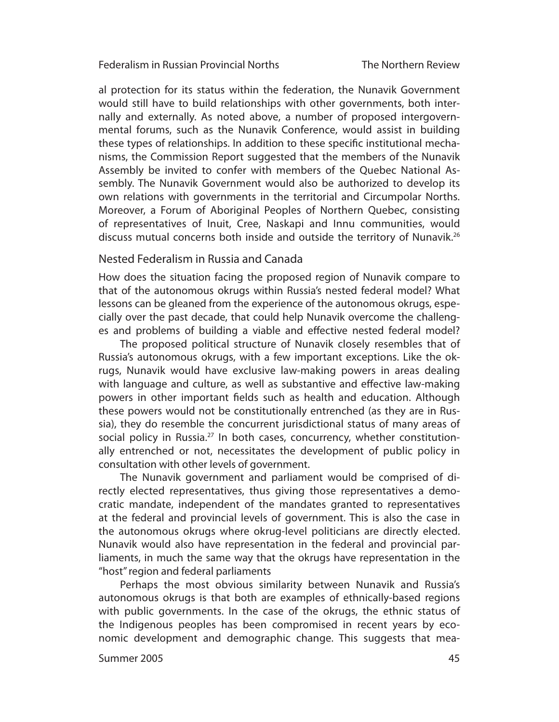al protection for its status within the federation, the Nunavik Government would still have to build relationships with other governments, both internally and externally. As noted above, a number of proposed intergovernmental forums, such as the Nunavik Conference, would assist in building these types of relationships. In addition to these specific institutional mechanisms, the Commission Report suggested that the members of the Nunavik Assembly be invited to confer with members of the Quebec National Assembly. The Nunavik Government would also be authorized to develop its own relations with governments in the territorial and Circumpolar Norths. Moreover, a Forum of Aboriginal Peoples of Northern Quebec, consisting of representatives of Inuit, Cree, Naskapi and Innu communities, would discuss mutual concerns both inside and outside the territory of Nunavik.<sup>26</sup>

# Nested Federalism in Russia and Canada

How does the situation facing the proposed region of Nunavik compare to that of the autonomous okrugs within Russia's nested federal model? What lessons can be gleaned from the experience of the autonomous okrugs, especially over the past decade, that could help Nunavik overcome the challenges and problems of building a viable and effective nested federal model?

The proposed political structure of Nunavik closely resembles that of Russia's autonomous okrugs, with a few important exceptions. Like the okrugs, Nunavik would have exclusive law-making powers in areas dealing with language and culture, as well as substantive and effective law-making powers in other important fields such as health and education. Although these powers would not be constitutionally entrenched (as they are in Russia), they do resemble the concurrent jurisdictional status of many areas of social policy in Russia.<sup>27</sup> In both cases, concurrency, whether constitutionally entrenched or not, necessitates the development of public policy in consultation with other levels of government.

The Nunavik government and parliament would be comprised of directly elected representatives, thus giving those representatives a democratic man date, independent of the mandates granted to representatives at the federal and provincial levels of government. This is also the case in the autonomous okrugs where okrug-level politicians are directly elected. Nunavik would also have representation in the federal and provincial parliaments, in much the same way that the okrugs have representation in the "host" region and federal parliaments

Perhaps the most obvious similarity between Nunavik and Russia's autonomous okrugs is that both are examples of ethnically-based regions with public governments. In the case of the okrugs, the ethnic status of the Indigenous peoples has been compromised in recent years by economic development and demographic change. This suggests that mea-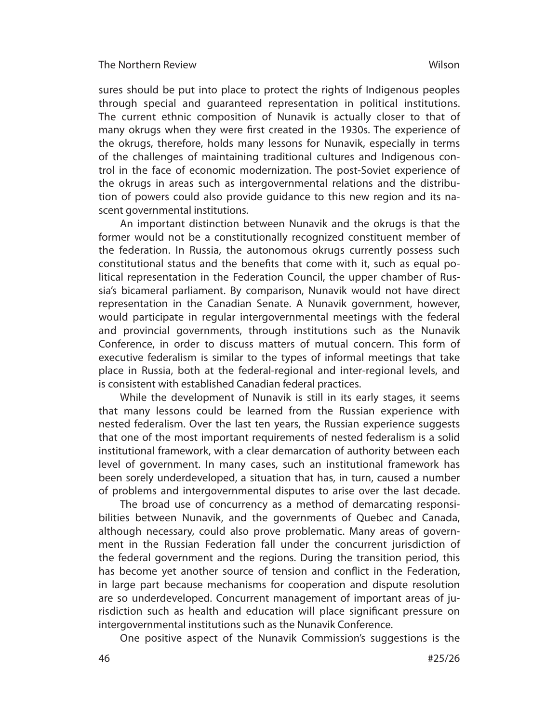sures should be put into place to protect the rights of Indigenous peoples through special and guaranteed representation in political institutions. The current ethnic composition of Nunavik is actually closer to that of many okrugs when they were first created in the 1930s. The experience of the okrugs, therefore, holds many lessons for Nunavik, especially in terms of the challenges of maintaining traditional cultures and Indigenous control in the face of economic modernization. The post-Soviet experience of the okrugs in areas such as intergovern mental relations and the distribution of powers could also provide guidance to this new region and its nascent governmental institutions.

An important distinction between Nunavik and the okrugs is that the former would not be a constitutionally recognized constituent member of the federation. In Russia, the autonomous okrugs currently possess such constitutional status and the benefits that come with it, such as equal political representation in the Federation Council, the upper chamber of Russia's bicameral parliament. By comparison, Nunavik would not have direct representation in the Canadian Senate. A Nunavik government, however, would participate in regular intergovernmental meetings with the federal and provincial governments, through institutions such as the Nunavik Conference, in order to discuss matters of mutual concern. This form of executive federalism is similar to the types of informal meetings that take place in Russia, both at the federal-regional and inter-regional levels, and is consistent with established Canadian federal practices.

While the development of Nunavik is still in its early stages, it seems that many lessons could be learned from the Russian experience with nested federalism. Over the last ten years, the Russian experience suggests that one of the most important requirements of nested federalism is a solid institutional framework, with a clear demarcation of authority between each level of government. In many cases, such an institutional framework has been sorely underdeveloped, a situation that has, in turn, caused a number of problems and intergovernmental disputes to arise over the last decade.

The broad use of concurrency as a method of demarcating responsibilities between Nunavik, and the governments of Quebec and Canada, although necessary, could also prove problematic. Many areas of government in the Russian Federation fall under the concurrent jurisdiction of the federal government and the regions. During the transition period, this has become yet another source of tension and conflict in the Federation, in large part because mechanisms for cooperation and dispute resolution are so underdeveloped. Concurrent management of important areas of jurisdiction such as health and education will place significant pressure on intergovernmental institutions such as the Nunavik Conference.

One positive aspect of the Nunavik Commission's suggestions is the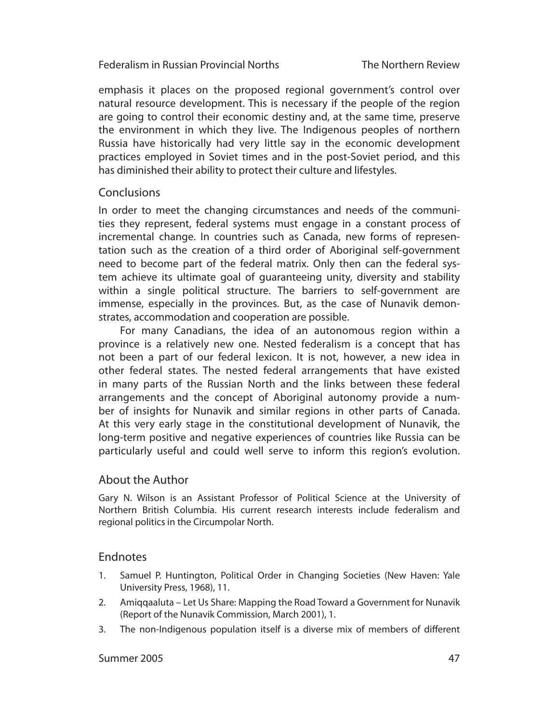emphasis it places on the proposed regional government's control over natural resource development. This is necessary if the people of the region are going to control their economic destiny and, at the same time, preserve the environment in which they live. The Indigenous peoples of northern Russia have historically had very little say in the economic development practices employed in Soviet times and in the post-Soviet period, and this has diminished their ability to protect their culture and lifestyles.

# **Conclusions**

In order to meet the changing circumstances and needs of the communities they represent, federal systems must engage in a constant process of incre mental change. In countries such as Canada, new forms of representation such as the creation of a third order of Aboriginal self-government need to become part of the federal matrix. Only then can the federal system achieve its ultimate goal of guaranteeing unity, diversity and stability within a single political structure. The barriers to self-government are immense, especially in the provinces. But, as the case of Nunavik demonstrates, accommodation and cooperation are possible.

For many Canadians, the idea of an autonomous region within a province is a relatively new one. Nested federalism is a concept that has not been a part of our federal lexicon. It is not, however, a new idea in other federal states. The nested federal arrangements that have existed in many parts of the Russian North and the links between these federal arrange ments and the concept of Aboriginal autonomy provide a number of insights for Nunavik and similar regions in other parts of Canada. At this very early stage in the constitutional development of Nunavik, the long-term positive and negative experiences of countries like Russia can be particularly useful and could well serve to inform this region's evolution.

# About the Author

Gary N. Wilson is an Assistant Professor of Political Science at the University of Northern British Columbia. His current research interests include federalism and regional politics in the Circumpolar North.

# Endnotes

- 1. Samuel P. Huntington, Political Order in Changing Societies (New Haven: Yale University Press, 1968), 11.
- 2. Amiqqaaluta Let Us Share: Mapping the Road Toward a Government for Nunavik (Report of the Nunavik Commission, March 2001), 1.
- 3. The non-Indigenous population itself is a diverse mix of members of different

## Summer 2005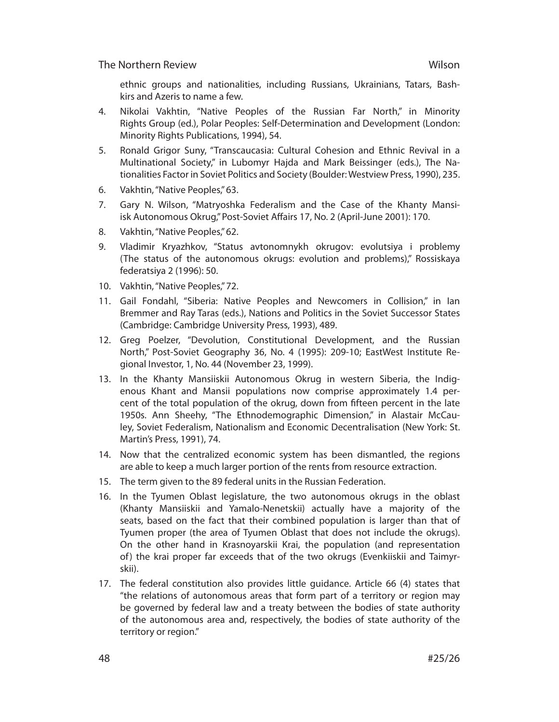ethnic groups and nationalities, including Russians, Ukrainians, Tatars, Bashkirs and Azeris to name a few.

- 4. Nikolai Vakhtin, "Native Peoples of the Russian Far North," in Minority Rights Group (ed.), Polar Peoples: Self-Determination and Development (London: Minority Rights Publications, 1994), 54.
- 5. Ronald Grigor Suny, "Transcaucasia: Cultural Cohesion and Ethnic Revival in a Multinational Society," in Lubomyr Hajda and Mark Beissinger (eds.), The Nationalities Factor in Soviet Politics and Society (Boulder: Westview Press, 1990), 235.
- 6. Vakhtin, "Native Peoples," 63.
- 7. Gary N. Wilson, "Matryoshka Federalism and the Case of the Khanty Mansiisk Autonomous Okrug," Post-Soviet Affairs 17, No. 2 (April-June 2001): 170.
- 8. Vakhtin, "Native Peoples," 62.
- 9. Vladimir Kryazhkov, "Status avtonomnykh okrugov: evolutsiya i problemy (The status of the autonomous okrugs: evolution and problems)," Rossiskaya federatsiya 2 (1996): 50.
- 10. Vakhtin, "Native Peoples," 72.
- 11. Gail Fondahl, "Siberia: Native Peoples and Newcomers in Collision," in Ian Bremmer and Ray Taras (eds.), Nations and Politics in the Soviet Successor States (Cambridge: Cambridge University Press, 1993), 489.
- 12. Greg Poelzer, "Devolution, Constitutional Development, and the Russian North," Post-Soviet Geography 36, No. 4 (1995): 209-10; EastWest Institute Regional Investor, 1, No. 44 (November 23, 1999).
- 13. In the Khanty Mansiiskii Autonomous Okrug in western Siberia, the Indigenous Khant and Mansii populations now comprise approximately 1.4 percent of the total population of the okrug, down from fifteen percent in the late 1950s. Ann Sheehy, "The Ethnodemographic Dimension," in Alastair McCauley, Soviet Federalism, Nationalism and Economic Decentralisation (New York: St. Martin's Press, 1991), 74.
- 14. Now that the centralized economic system has been dismantled, the regions are able to keep a much larger portion of the rents from resource extraction.
- 15. The term given to the 89 federal units in the Russian Federation.
- 16. In the Tyumen Oblast legislature, the two autonomous okrugs in the oblast (Khanty Mansiiskii and Yamalo-Nenetskii) actually have a majority of the seats, based on the fact that their combined population is larger than that of Tyumen proper (the area of Tyumen Oblast that does not include the okrugs). On the other hand in Krasnoyarskii Krai, the population (and representation of) the krai proper far exceeds that of the two okrugs (Evenkiiskii and Taimyrskii).
- 17. The federal constitution also provides little guidance. Article 66 (4) states that "the relations of autonomous areas that form part of a territory or region may be governed by federal law and a treaty between the bodies of state authority of the autonomous area and, respectively, the bodies of state authority of the territory or region."